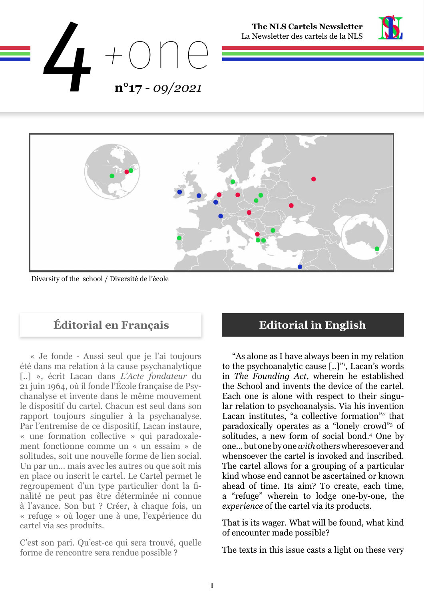





Diversity of the school / Diversité de l'école

## **Éditorial en Français Editorial in English**

« Je fonde - Aussi seul que je l'ai toujours été dans ma relation à la cause psychanalytique [..] », écrit Lacan dans *L'Acte fondateur* du 21 juin 1964, où il fonde l'École française de Psychanalyse et invente dans le même mouvement le dispositif du cartel. Chacun est seul dans son rapport toujours singulier à la psychanalyse. Par l'entremise de ce dispositif, Lacan instaure, « une formation collective » qui paradoxalement fonctionne comme un « un essaim » de solitudes, soit une nouvelle forme de lien social. Un par un… mais avec les autres ou que soit mis en place ou inscrit le cartel. Le Cartel permet le regroupement d'un type particulier dont la finalité ne peut pas être déterminée ni connue à l'avance. Son but ? Créer, à chaque fois, un « refuge » où loger une à une, l'expérience du cartel via ses produits.

C'est son pari. Qu'est-ce qui sera trouvé, quelle forme de rencontre sera rendue possible ?

"As alone as I have always been in my relation to the psychoanalytic cause  $[...]^{n_1}$ , Lacan's words in *The Founding Act*, wherein he established the School and invents the device of the cartel. Each one is alone with respect to their singular relation to psychoanalysis. Via his invention Lacan institutes, "a collective formation"<sup>2</sup> that paradoxically operates as a "lonely crowd"3 of solitudes, a new form of social bond.4 One by one… but one by one *with* others wheresoever and whensoever the cartel is invoked and inscribed. The cartel allows for a grouping of a particular kind whose end cannot be ascertained or known ahead of time. Its aim? To create, each time, a "refuge" wherein to lodge one-by-one, the *experience* of the cartel via its products.

That is its wager. What will be found, what kind of encounter made possible?

The texts in this issue casts a light on these very